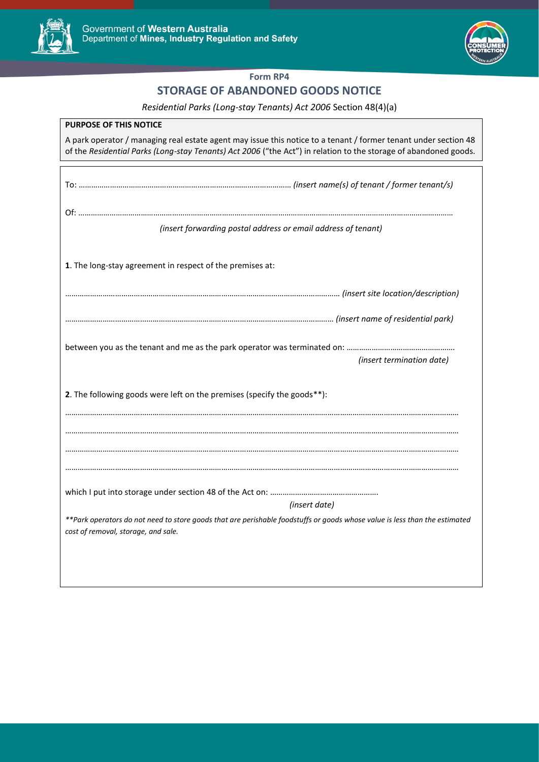



## **Form RP4**

## **STORAGE OF ABANDONED GOODS NOTICE**

## *Residential Parks (Long-stay Tenants) Act 2006* Section 48(4)(a)

| <b>PURPOSE OF THIS NOTICE</b>                                                                                                                                                                                                       |
|-------------------------------------------------------------------------------------------------------------------------------------------------------------------------------------------------------------------------------------|
| A park operator / managing real estate agent may issue this notice to a tenant / former tenant under section 48<br>of the Residential Parks (Long-stay Tenants) Act 2006 ("the Act") in relation to the storage of abandoned goods. |
|                                                                                                                                                                                                                                     |
|                                                                                                                                                                                                                                     |
|                                                                                                                                                                                                                                     |
|                                                                                                                                                                                                                                     |
| (insert forwarding postal address or email address of tenant)                                                                                                                                                                       |
|                                                                                                                                                                                                                                     |
| 1. The long-stay agreement in respect of the premises at:                                                                                                                                                                           |
|                                                                                                                                                                                                                                     |
|                                                                                                                                                                                                                                     |
|                                                                                                                                                                                                                                     |
|                                                                                                                                                                                                                                     |
|                                                                                                                                                                                                                                     |
| (insert termination date)                                                                                                                                                                                                           |
|                                                                                                                                                                                                                                     |
| 2. The following goods were left on the premises (specify the goods**):                                                                                                                                                             |
|                                                                                                                                                                                                                                     |
|                                                                                                                                                                                                                                     |
|                                                                                                                                                                                                                                     |
|                                                                                                                                                                                                                                     |
|                                                                                                                                                                                                                                     |
| (insert date)                                                                                                                                                                                                                       |
| **Park operators do not need to store goods that are perishable foodstuffs or goods whose value is less than the estimated                                                                                                          |
| cost of removal, storage, and sale.                                                                                                                                                                                                 |
|                                                                                                                                                                                                                                     |
|                                                                                                                                                                                                                                     |